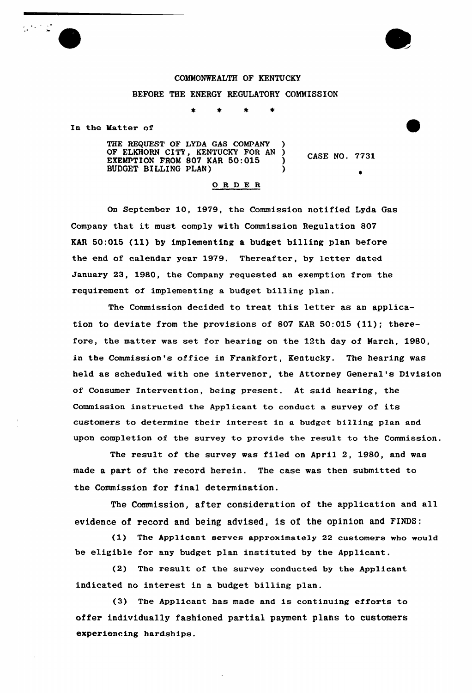## COMMONWEALTH OF KENTUCKY BEFORE THE ENERGY REGULATORY COMMISSION

 $\star$ 

 $\star$ 

In the Matter of

THE REQUEST OF LYDA GAS COMPANY )<br>OF ELKHORN CITY, KENTUCKY FOR AN ) OF ELKHORN CITY, KENTUCKY FOR AN ) EXEMPTION FROM 807 KAR 50:015 BUDGET BILLING PLAN) )

CASE NO. 7731

 $\bullet$ 

## ORDER

On September 10, 1979, the Commission notified Lyda Gas Company that it must comply with Commission Regulation <sup>807</sup> KAR 50:015 {11)by implementing <sup>a</sup> budget billing plan before the end of calendar year 1979. Thereafter, by letter dated January 23, 1980, the Company requested an exemption from the requirement of implementing a budget billing plan.

The Commission decided to treat this letter as an application to deviate from the provisions of 807 KAR 50:015 (11); therefore, the matter was set for hearing on the 12th day of March, 1980, in the Commission's office in Frankfort, Kentucky. The hearing was held as scheduled with one intervenor, the Attorney General's Division of Consumer Intervention, being present. At said hearing, the Commission instructed the Applicant to conduct <sup>a</sup> survey of its customers to determine their interest in a budget billing plan and upon completion of the survey to provide the result to the Commission.

The result of the survey was filed on April 2, 1980, and was made a part of the record herein. The case was then submitted to the Commission for final determination.

The Commission, after consideration of the application and all evidence of record and being advised, is of the opinion and FINDS;

(1) The Applicant serves approximately 22 customers who would be eligible for any budget plan instituted by the Applicant.

(2) The result of the survey conducted by the Applicant indicated no interest in a budget billing plan.

(3) The Applicant has made and is continuing efforts to offer individually fashioned partial payment plans to customers experiencing hardships.